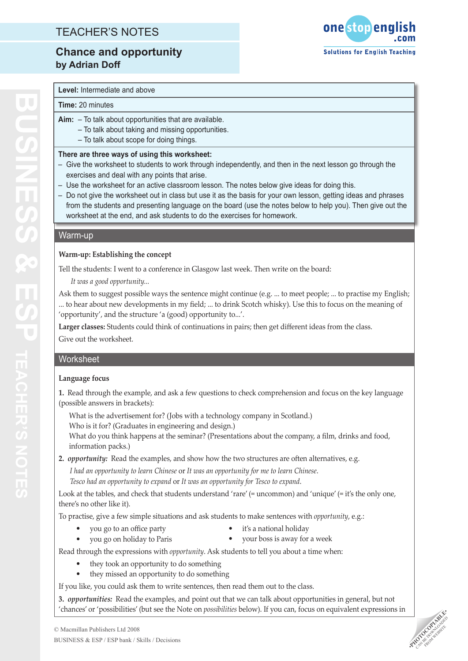## TEACHER'S NOTES

**Chance and opportunity by Adrian Doff**



## **Level:** Intermediate and above

#### **Time:** 20 minutes

- **Aim:** To talk about opportunities that are available.
	- To talk about taking and missing opportunities.
	- To talk about scope for doing things.

#### **There are three ways of using this worksheet:**

- Give the worksheet to students to work through independently, and then in the next lesson go through the exercises and deal with any points that arise.
- Use the worksheet for an active classroom lesson. The notes below give ideas for doing this.
- Do not give the worksheet out in class but use it as the basis for your own lesson, getting ideas and phrases from the students and presenting language on the board (use the notes below to help you). Then give out the worksheet at the end, and ask students to do the exercises for homework.

#### Warm-up

#### **Warm-up: Establishing the concept**

Tell the students: I went to a conference in Glasgow last week. Then write on the board:

*It was a good opportunity...*

Ask them to suggest possible ways the sentence might continue (e.g. ... to meet people; ... to practise my English; ... to hear about new developments in my field; ... to drink Scotch whisky). Use this to focus on the meaning of 'opportunity', and the structure 'a (good) opportunity to...'.

**Larger classes:** Students could think of continuations in pairs; then get different ideas from the class. Give out the worksheet.

## Worksheet

## **Language focus**

**1.** Read through the example, and ask a few questions to check comprehension and focus on the key language (possible answers in brackets):

What is the advertisement for? (Jobs with a technology company in Scotland.)

Who is it for? (Graduates in engineering and design.)

What do you think happens at the seminar? (Presentations about the company, a film, drinks and food, information packs.)

**2.** *opportunity:* Read the examples, and show how the two structures are often alternatives, e.g.

*I had an opportunity to learn Chinese* or *It was an opportunity for me to learn Chinese*. *Tesco had an opportunity to expand* or *It was an opportunity for Tesco to expand*.

Look at the tables, and check that students understand 'rare' (= uncommon) and 'unique' (= it's the only one, there's no other like it).

To practise, give a few simple situations and ask students to make sentences with *opportunity*, e.g.:

- you go to an office party •
- it's a national holiday
- you go on holiday to Paris •
- your boss is away for a week • •

Read through the expressions with *opportunity*. Ask students to tell you about a time when:

- they took an opportunity to do something •
- they missed an opportunity to do something •

If you like, you could ask them to write sentences, then read them out to the class.

**3.** *opportunities:* Read the examples, and point out that we can talk about opportunities in general, but not 'chances' or 'possibilities' (but see the Note on *possibilities* below). If you can, focus on equivalent expressions in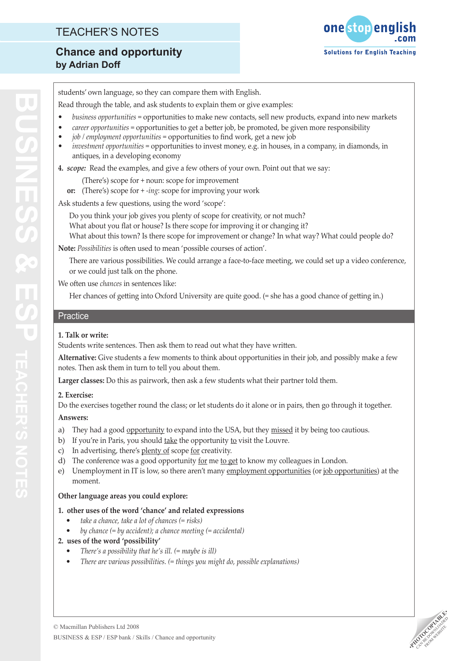## TEACHER'S NOTES

# **Chance and opportunity by Adrian Doff**



students' own language, so they can compare them with English.

- Read through the table, and ask students to explain them or give examples:
- *business opportunities* = opportunities to make new contacts, sell new products, expand into new markets *•*
- *career opportunities* = opportunities to get a better job, be promoted, be given more responsibility *•*
- *job / employment opportunities* = opportunities to find work, get a new job *•*
- *investment opportunities* = opportunities to invest money, e.g. in houses, in a company, in diamonds, in antiques, in a developing economy *•*
- **4.** *scope:* Read the examples, and give a few others of your own. Point out that we say:
	- (There's) scope for + noun: scope for improvement
	- **or:** (There's) scope for + *-ing*: scope for improving your work

Ask students a few questions, using the word 'scope':

Do you think your job gives you plenty of scope for creativity, or not much? What about you flat or house? Is there scope for improving it or changing it? What about this town? Is there scope for improvement or change? In what way? What could people do?

**Note:** *Possibilities* is often used to mean 'possible courses of action'.

There are various possibilities. We could arrange a face-to-face meeting, we could set up a video conference, or we could just talk on the phone.

We often use *chances* in sentences like:

Her chances of getting into Oxford University are quite good. (= she has a good chance of getting in.)

## **Practice**

## **1. Talk or write:**

Students write sentences. Then ask them to read out what they have written.

**Alternative:** Give students a few moments to think about opportunities in their job, and possibly make a few notes. Then ask them in turn to tell you about them.

**Larger classes:** Do this as pairwork, then ask a few students what their partner told them.

## **2. Exercise:**

Do the exercises together round the class; or let students do it alone or in pairs, then go through it together.

## **Answers:**

- They had a good opportunity to expand into the USA, but they missed it by being too cautious. a)
- b) If you're in Paris, you should <u>take</u> the opportunity <u>to</u> visit the Louvre.
- c) In advertising, there's plenty of scope for creativity.
- d) The conference was a good opportunity <u>for</u> me **to get** to know my colleagues in London.
- Unemployment in IT is low, so there aren't many employment opportunities (or job opportunities) at the moment. e)

## **Other language areas you could explore:**

- **1. other uses of the word 'chance' and related expressions** 
	- *take a chance, take a lot of chances (= risks) •*
	- *by chance (= by accident); a chance meeting (= accidental) •*
- **2. uses of the word 'possibility'** 
	- *There's a possibility that he's ill. (= maybe is ill) •*
	- *There are various possibilities. (= things you might do, possible explanations) •*